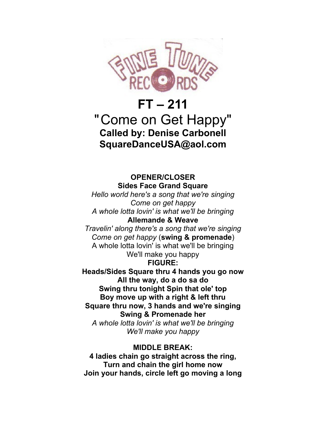

# **FT – 211** "Come on Get Happy" **Called by: Denise Carbonell SquareDanceUSA@aol.com**

## **OPENER/CLOSER Sides Face Grand Square**

*Hello world here's a song that we're singing Come on get happy A whole lotta lovin' is what we'll be bringing* **Allemande & Weave** 

*Travelin' along there's a song that we're singing Come on get happy* (**swing & promenade**) A whole lotta lovin' is what we'll be bringing We'll make you happy

### **FIGURE:**

**Heads/Sides Square thru 4 hands you go now All the way, do a do sa do Swing thru tonight Spin that ole' top Boy move up with a right & left thru Square thru now, 3 hands and we're singing Swing & Promenade her** *A whole lotta lovin' is what we'll be bringing We'll make you happy*

### **MIDDLE BREAK:**

**4 ladies chain go straight across the ring, Turn and chain the girl home now Join your hands, circle left go moving a long**